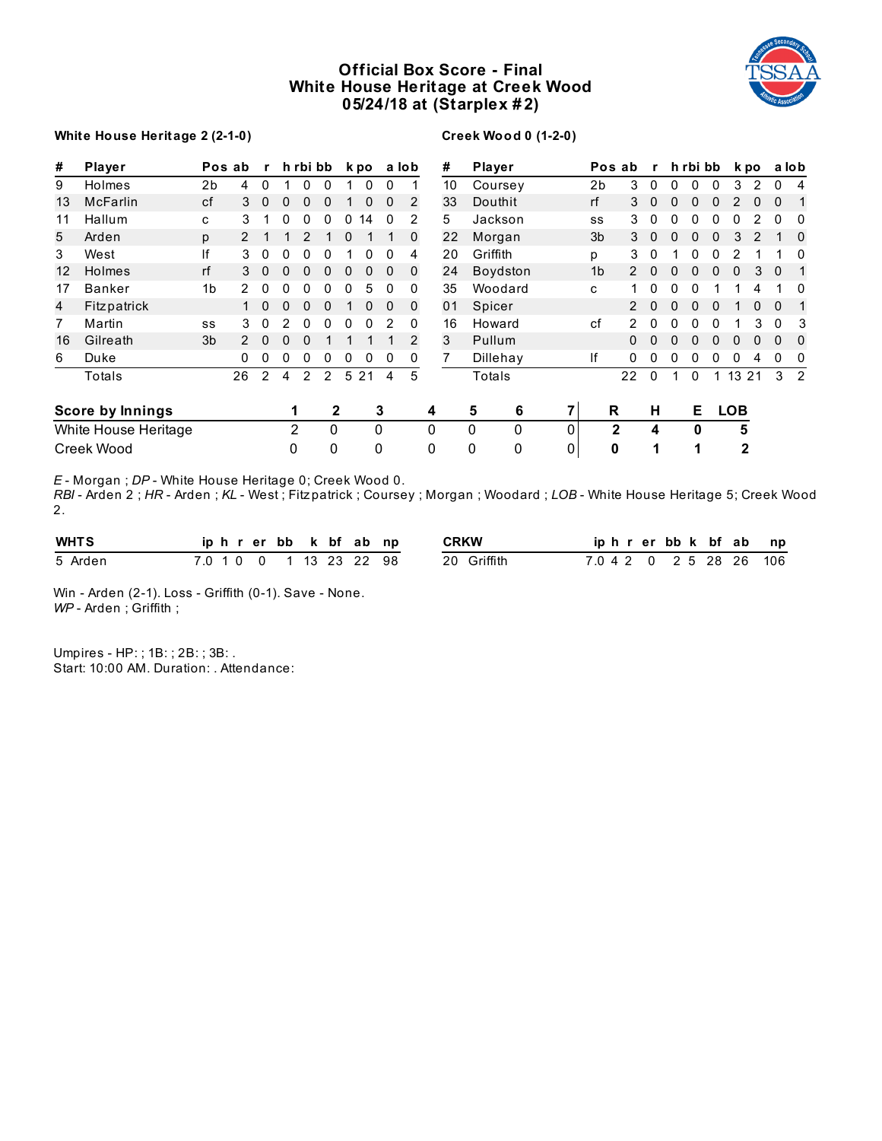# **Official Box Score - Final White House Heritage at Creek Wood 05/24/18 at (Starplex # 2)**



### **White House Heritage 2 (2-1-0)**

### **Creek Wood 0 (1-2-0)**

| #  | Player               |                | Pos ab         | $\mathbf{r}$ |                | h rbi bb      |               |             | k po         |              | a lob        |   | #              | Player   |   |                | Pos ab         | $\mathbf{r}$ |   | h rbi bb |              |              | k po |              | a lob          |
|----|----------------------|----------------|----------------|--------------|----------------|---------------|---------------|-------------|--------------|--------------|--------------|---|----------------|----------|---|----------------|----------------|--------------|---|----------|--------------|--------------|------|--------------|----------------|
| 9  | Holmes               | 2b             | 4              | 0            |                | 0             | 0             |             | $\mathbf{0}$ | 0            |              |   | 10             | Coursey  |   | 2 <sub>b</sub> | 3              | $\mathbf{0}$ | 0 | 0        | $\Omega$     | 3            | 2    | 0            | 4              |
| 13 | <b>McFarlin</b>      | cf             | 3              | 0            | 0              | 0             | 0             |             | $\mathbf{0}$ | 0            | 2            |   | 33             | Douthit  |   | rf             | 3              | $\mathbf 0$  | 0 |          |              |              |      | $\Omega$     | 1              |
| 11 | Hallum               | $\mathbf{C}$   | 3              |              | 0              | 0             | 0             | 0           | 14           | $\Omega$     | 2            |   | 5              | Jackson  |   | SS             | 3              | 0            |   | 0        | 0            |              |      | $\Omega$     | 0              |
| 5  | Arden                | p              | $\overline{2}$ |              |                | 2             |               | 0           |              |              | $\Omega$     |   | 22             | Morgan   |   | 3 <sub>b</sub> | 3              | $\Omega$     | 0 | 0        | 0            | 3            |      |              | 0              |
| 3  | West                 | ١f             | 3              | 0            | 0              | 0             | 0             |             |              | <sup>0</sup> | 4            |   | 20             | Griffith |   | р              | 3              | $\Omega$     |   | 0        | 0            |              |      |              | 0              |
| 12 | Holmes               | rf             | 3              | $\mathbf{0}$ | $\Omega$       | 0             | 0             | $\mathbf 0$ | $\Omega$     | $\Omega$     | $\Omega$     |   | 24             | Boydston |   | 1 <sub>b</sub> | $\overline{2}$ | $\Omega$     | 0 | 0        | 0            | $\Omega$     | 3    | $\mathbf{0}$ | $\mathbf{1}$   |
| 17 | <b>Banker</b>        | 1 <sub>b</sub> | $\mathcal{P}$  | 0            | 0              | 0             | 0             | 0           | 5            | $\Omega$     | $\Omega$     |   | 35             | Woodard  |   | C              | 1.             | $\Omega$     | 0 | 0        |              |              | 4    |              | 0              |
| 4  | Fitzpatrick          |                |                | 0            | 0              | 0             | 0             |             | $\Omega$     | $\Omega$     | $\mathbf{0}$ |   | 0 <sub>1</sub> | Spicer   |   |                | $\mathcal{P}$  | 0            | 0 | 0        | 0            |              | 0    | $\Omega$     |                |
| 7  | Martin               | SS             | 3              | 0            | 2              | 0             | 0             | 0           | $\Omega$     | 2            | 0            |   | 16             | Howard   |   | cf             | $\overline{2}$ | 0            | 0 |          | 0            |              | 3    | $\Omega$     | 3              |
| 16 | Gilreath             | 3 <sub>b</sub> |                | 0            | 0              | 0             |               |             |              |              | 2            |   | 3              | Pullum   |   |                | $\Omega$       | 0            | 0 | 0        | 0            | 0            | 0    | $\Omega$     | 0              |
| 6  | Duke                 |                | 0              | 0            | 0              | 0             | 0             | 0           | $\mathbf{0}$ | 0            | 0            |   |                | Dillehay |   | If             | 0              | $\Omega$     | 0 | 0        | 0            | 0            | 4    | 0            | 0              |
|    | Totals               |                | 26             | 2            | 4              | $\mathcal{P}$ | $\mathcal{P}$ |             | 5 2 1        | 4            | 5            |   |                | Totals   |   |                | 22             | 0            |   | 0        | $\mathbf{1}$ | 13 21        |      |              | 3 <sub>2</sub> |
|    | Score by Innings     |                |                |              |                |               | 2             |             |              | 3            |              | 4 |                | 5<br>6   |   |                | R              | Н            |   | Е        |              | <b>LOB</b>   |      |              |                |
|    | White House Heritage |                |                |              | $\overline{2}$ |               | 0             |             |              | 0            |              | 0 |                | 0<br>0   | 0 |                | $\mathbf{2}$   | 4            |   | 0        |              | 5            |      |              |                |
|    | Creek Wood           |                |                |              | 0              |               | 0             |             |              | 0            |              | 0 |                | 0<br>0   | 0 |                | 0              | 1            |   | 1        |              | $\mathbf{2}$ |      |              |                |

*E* - Morgan ; *DP* - White House Heritage 0; Creek Wood 0.

*RBI* - Arden 2 ; *HR* - Arden ; *KL* - West ; Fitz patrick ; Coursey ; Morgan ; Woodard ; *LOB* - White House Heritage 5; Creek Wood 2.

| <b>WHTS</b> | iphrerbb k bfab np |  |  |                 | <b>CRKW</b>     |  | iphrerbbk bfab          |  | np |
|-------------|--------------------|--|--|-----------------|-----------------|--|-------------------------|--|----|
| 5 Arden     |                    |  |  | 0 1 13 23 22 98 | Griffith<br>20. |  | 7.0 4 2 0 2 5 28 26 106 |  |    |

Win - Arden (2-1). Loss - Griffith (0-1). Save - None. *WP* - Arden ; Griffith ;

Umpires - HP: ; 1B: ; 2B: ; 3B: . Start: 10:00 AM. Duration: . Attendance: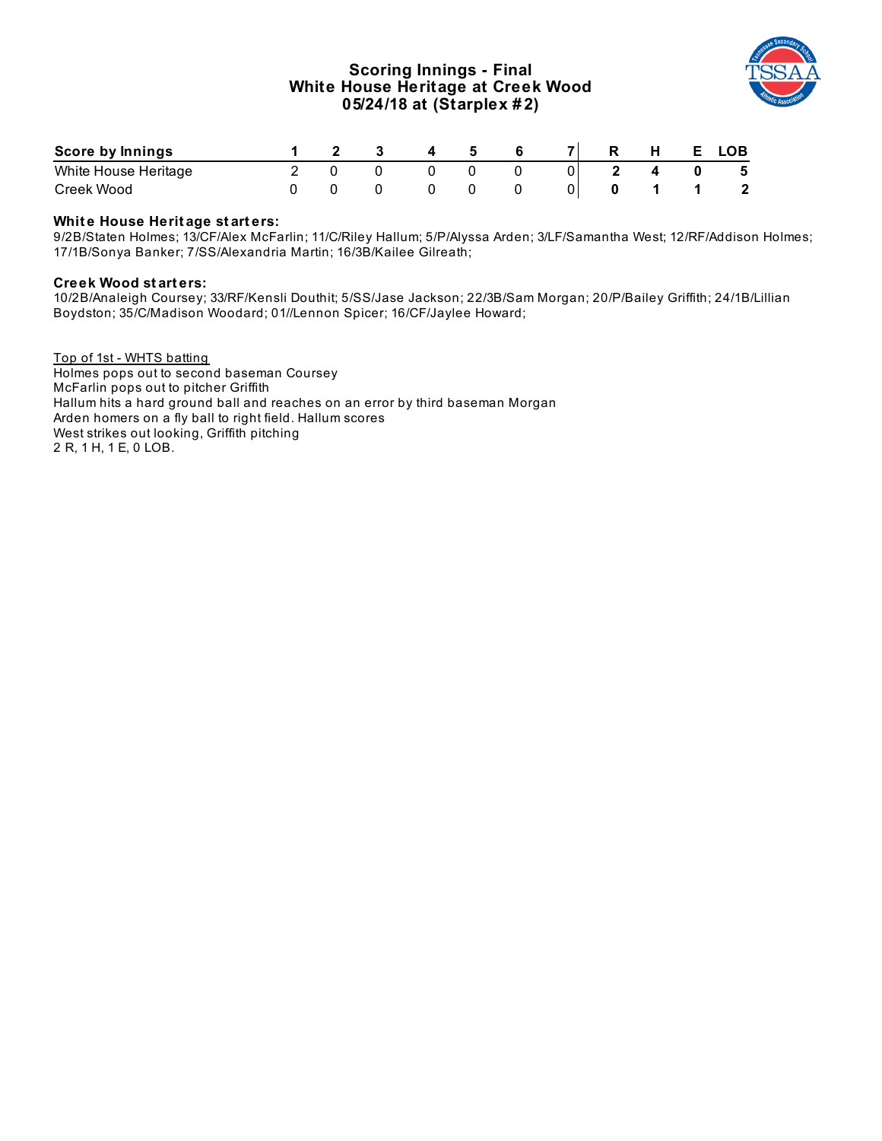# **Scoring Innings - Final White House Heritage at Creek Wood 05/24/18 at (Starplex # 2)**



| Score by Innings     |  |  |  |  | . . | LOB |
|----------------------|--|--|--|--|-----|-----|
| White House Heritage |  |  |  |  |     | 5   |
| Creek Wood           |  |  |  |  |     |     |

### **Whit e House Herit age st art ers:**

9/2B/Staten Holmes; 13/CF/Alex McFarlin; 11/C/Riley Hallum; 5/P/Alyssa Arden; 3/LF/Samantha West; 12/RF/Addison Holmes; 17/1B/Sonya Banker; 7/SS/Alexandria Martin; 16/3B/Kailee Gilreath;

#### **Creek Wood st art ers:**

10/2B/Analeigh Coursey; 33/RF/Kensli Douthit; 5/SS/Jase Jackson; 22/3B/Sam Morgan; 20/P/Bailey Griffith; 24/1B/Lillian Boydston; 35/C/Madison Woodard; 01//Lennon Spicer; 16/CF/Jaylee Howard;

Top of 1st - WHTS batting Holmes pops out to second baseman Coursey McFarlin pops out to pitcher Griffith Hallum hits a hard ground ball and reaches on an error by third baseman Morgan Arden homers on a fly ball to right field. Hallum scores West strikes out looking, Griffith pitching 2 R, 1 H, 1 E, 0 LOB.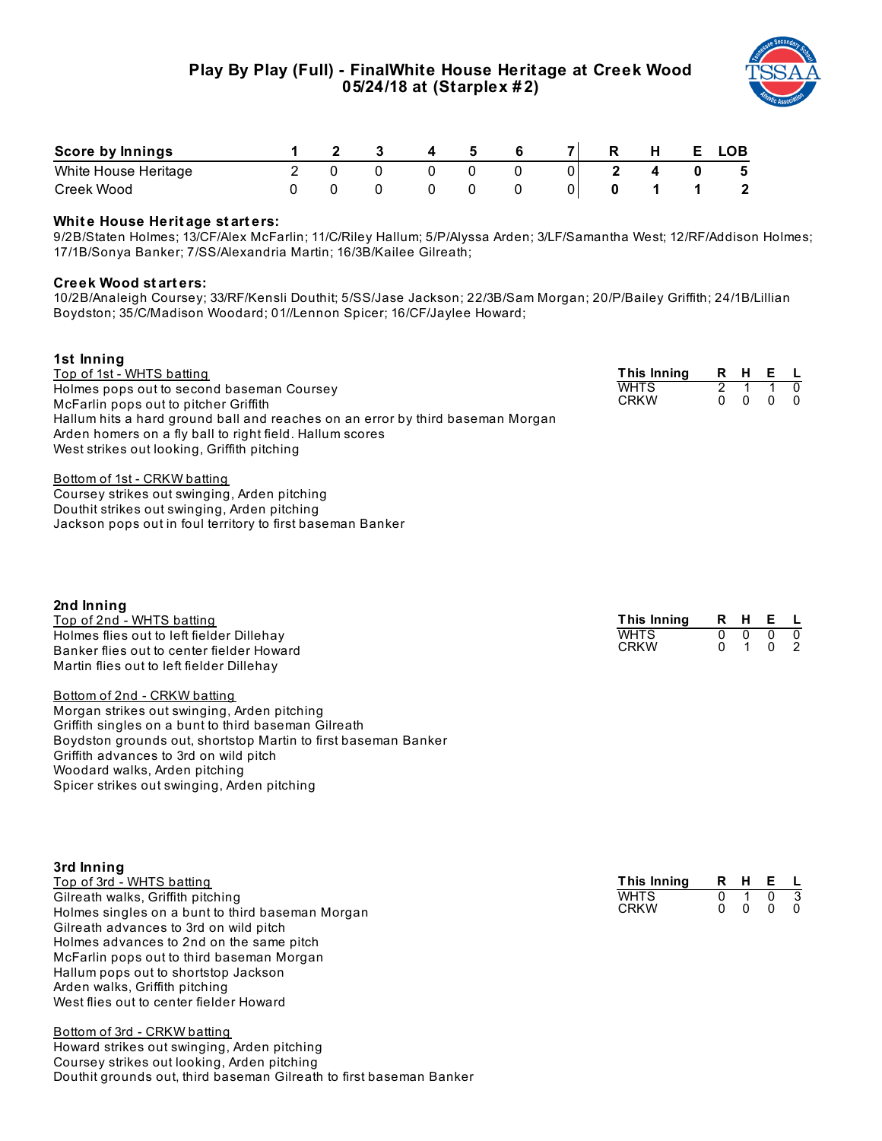

| Score by Innings     |  |  |  | R | н | E. | LOB.         |
|----------------------|--|--|--|---|---|----|--------------|
| White House Heritage |  |  |  |   |   |    | - 5          |
| Creek Wood           |  |  |  |   |   |    | $\mathbf{2}$ |

#### **Whit e House Herit age st art ers:**

9/2B/Staten Holmes; 13/CF/Alex McFarlin; 11/C/Riley Hallum; 5/P/Alyssa Arden; 3/LF/Samantha West; 12/RF/Addison Holmes; 17/1B/Sonya Banker; 7/SS/Alexandria Martin; 16/3B/Kailee Gilreath;

#### **Creek Wood st art ers:**

10/2B/Analeigh Coursey; 33/RF/Kensli Douthit; 5/SS/Jase Jackson; 22/3B/Sam Morgan; 20/P/Bailey Griffith; 24/1B/Lillian Boydston; 35/C/Madison Woodard; 01//Lennon Spicer; 16/CF/Jaylee Howard;

| 1st Inning                                                                                                                                                                                 |                            |   |          |              |                      |
|--------------------------------------------------------------------------------------------------------------------------------------------------------------------------------------------|----------------------------|---|----------|--------------|----------------------|
| Top of 1st - WHTS batting                                                                                                                                                                  | This Inning                |   | R H      | Е            |                      |
| Holmes pops out to second baseman Coursey<br>McFarlin pops out to pitcher Griffith<br>Hallum hits a hard ground ball and reaches on an error by third baseman Morgan                       | <b>WHTS</b><br><b>CRKW</b> | 0 | $\left($ | $\mathbf{U}$ | $\Omega$<br>$\Omega$ |
| Arden homers on a fly ball to right field. Hallum scores<br>West strikes out looking, Griffith pitching                                                                                    |                            |   |          |              |                      |
| Bottom of 1st - CRKW batting<br>Coursey strikes out swinging, Arden pitching<br>Douthit strikes out swinging, Arden pitching<br>Jackson pops out in foul territory to first baseman Banker |                            |   |          |              |                      |

| 2nd Inning                                                     |                    |              |              |                |                |
|----------------------------------------------------------------|--------------------|--------------|--------------|----------------|----------------|
| <u>Top of 2nd - WHTS batting</u>                               | This Inning        | R            | H            | Е              | <b>L</b>       |
| Holmes flies out to left fielder Dillehay                      | <b>WHTS</b>        | $\mathbf 0$  | 0            | 0              | $\mathbf 0$    |
| Banker flies out to center fielder Howard                      | <b>CRKW</b>        | 0            | 1            | 0              | 2              |
| Martin flies out to left fielder Dillehay                      |                    |              |              |                |                |
| Bottom of 2nd - CRKW batting                                   |                    |              |              |                |                |
| Morgan strikes out swinging, Arden pitching                    |                    |              |              |                |                |
| Griffith singles on a bunt to third baseman Gilreath           |                    |              |              |                |                |
| Boydston grounds out, shortstop Martin to first baseman Banker |                    |              |              |                |                |
| Griffith advances to 3rd on wild pitch                         |                    |              |              |                |                |
| Woodard walks, Arden pitching                                  |                    |              |              |                |                |
| Spicer strikes out swinging, Arden pitching                    |                    |              |              |                |                |
|                                                                |                    |              |              |                |                |
| 3rd Inning                                                     |                    |              |              |                |                |
| Top of 3rd - WHTS batting                                      | <b>This Inning</b> |              | R H          | Е              | . L            |
| Gilreath walks, Griffith pitching                              | <b>WHTS</b>        | $\mathbf{0}$ | $\mathbf{1}$ | $\overline{0}$ | $\overline{3}$ |
| Holmes singles on a bunt to third baseman Morgan               | <b>CRKW</b>        | 0            | $\mathbf{0}$ | $\mathbf{0}$   | $\Omega$       |
| Gilreath advances to 3rd on wild pitch                         |                    |              |              |                |                |
| Holmes advances to 2nd on the same pitch                       |                    |              |              |                |                |
| McFarlin pops out to third baseman Morgan                      |                    |              |              |                |                |
| Hallum pops out to shortstop Jackson                           |                    |              |              |                |                |
| Arden walks, Griffith pitching                                 |                    |              |              |                |                |

Bottom of 3rd - CRKW batting Howard strikes out swinging, Arden pitching Coursey strikes out looking, Arden pitching Douthit grounds out, third baseman Gilreath to first baseman Banker

West flies out to center fielder Howard